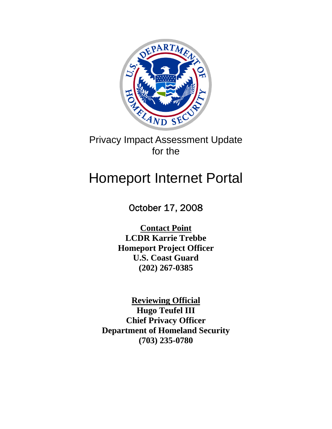

# Privacy Impact Assessment Update for the

# Homeport Internet Portal

# October 17, 2008

**Contact Point LCDR Karrie Trebbe Homeport Project Officer U.S. Coast Guard (202) 267-0385** 

**Reviewing Official Hugo Teufel III Chief Privacy Officer Department of Homeland Security (703) 235-0780**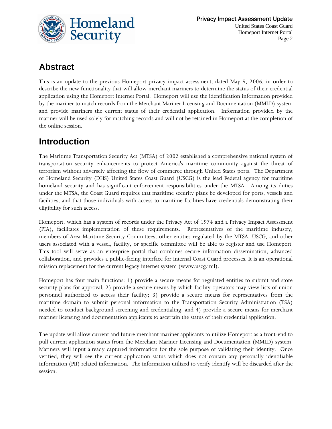

# **Abstract**

This is an update to the previous Homeport privacy impact assessment, dated May 9, 2006, in order to describe the new functionality that will allow merchant mariners to determine the status of their credential application using the Homeport Internet Portal. Homeport will use the identification information provided by the mariner to match records from the Merchant Mariner Licensing and Documentation (MMLD) system and provide mariners the current status of their credential application. Information provided by the mariner will be used solely for matching records and will not be retained in Homeport at the completion of the online session.

# **Introduction**

The Maritime Transportation Security Act (MTSA) of 2002 established a comprehensive national system of transportation security enhancements to protect America's maritime community against the threat of terrorism without adversely affecting the flow of commerce through United States ports. The Department of Homeland Security (DHS) United States Coast Guard (USCG) is the lead Federal agency for maritime homeland security and has significant enforcement responsibilities under the MTSA. Among its duties under the MTSA, the Coast Guard requires that maritime security plans be developed for ports, vessels and facilities, and that those individuals with access to maritime facilities have credentials demonstrating their eligibility for such access.

Homeport, which has a system of records under the Privacy Act of 1974 and a Privacy Impact Assessment (PIA), facilitates implementation of these requirements. Representatives of the maritime industry, members of Area Maritime Security Committees, other entities regulated by the MTSA, USCG, and other users associated with a vessel, facility, or specific committee will be able to register and use Homeport. This tool will serve as an enterprise portal that combines secure information dissemination, advanced collaboration, and provides a public-facing interface for internal Coast Guard processes. It is an operational mission replacement for the current legacy internet system (www.uscg.mil).

Homeport has four main functions: 1) provide a secure means for regulated entities to submit and store security plans for approval; 2) provide a secure means by which facility operators may view lists of union personnel authorized to access their facility; 3) provide a secure means for representatives from the maritime domain to submit personal information to the Transportation Security Administration (TSA) needed to conduct background screening and credentialing; and 4) provide a secure means for merchant mariner licensing and documentation applicants to ascertain the status of their credential application.

The update will allow current and future merchant mariner applicants to utilize Homeport as a front-end to pull current application status from the Merchant Mariner Licensing and Documentation (MMLD) system. Mariners will input already captured information for the sole purpose of validating their identity. Once verified, they will see the current application status which does not contain any personally identifiable information (PII) related information. The information utilized to verify identify will be discarded after the session.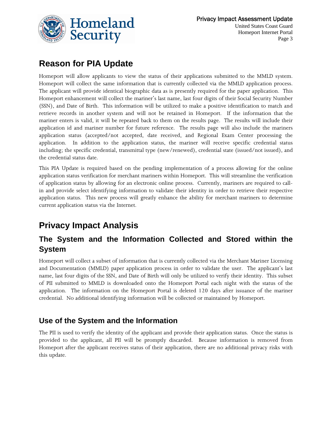

### **Reason for PIA Update**

Homeport will allow applicants to view the status of their applications submitted to the MMLD system. Homeport will collect the same information that is currently collected via the MMLD application process. The applicant will provide identical biographic data as is presently required for the paper application. This Homeport enhancement will collect the mariner's last name, last four digits of their Social Security Number (SSN), and Date of Birth. This information will be utilized to make a positive identification to match and retrieve records in another system and will not be retained in Homeport. If the information that the mariner enters is valid, it will be repeated back to them on the results page. The results will include their application id and mariner number for future reference. The results page will also include the mariners application status (accepted/not accepted, date received, and Regional Exam Center processing the application. In addition to the application status, the mariner will receive specific credential status including; the specific credential, transmittal type (new/renewed), credential state (issued/not issued), and the credential status date.

This PIA Update is required based on the pending implementation of a process allowing for the online application status verification for merchant mariners within Homeport. This will streamline the verification of application status by allowing for an electronic online process. Currently, mariners are required to callin and provide select identifying information to validate their identity in order to retrieve their respective application status. This new process will greatly enhance the ability for merchant mariners to determine current application status via the Internet.

# **Privacy Impact Analysis**

#### **The System and the Information Collected and Stored within the System**

Homeport will collect a subset of information that is currently collected via the Merchant Mariner Licensing and Documentation (MMLD) paper application process in order to validate the user. The applicant's last name, last four digits of the SSN, and Date of Birth will only be utilized to verify their identity. This subset of PII submitted to MMLD is downloaded onto the Homeport Portal each night with the status of the application. The information on the Homeport Portal is deleted 120 days after issuance of the mariner credential. No additional identifying information will be collected or maintained by Homeport.

#### **Use of the System and the Information**

The PII is used to verify the identity of the applicant and provide their application status. Once the status is provided to the applicant, all PII will be promptly discarded. Because information is removed from Homeport after the applicant receives status of their application, there are no additional privacy risks with this update.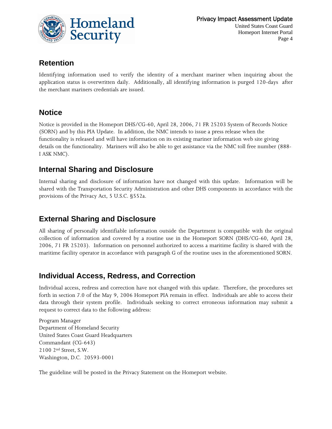

#### **Retention**

Identifying information used to verify the identity of a merchant mariner when inquiring about the application status is overwritten daily. Additionally, all identifying information is purged 120-days after the merchant mariners credentials are issued.

#### **Notice**

Notice is provided in the Homeport DHS/CG-60, April 28, 2006, 71 FR 25203 System of Records Notice (SORN) and by this PIA Update. In addition, the NMC intends to issue a press release when the functionality is released and will have information on its existing mariner information web site giving details on the functionality. Mariners will also be able to get assistance via the NMC toll free number (888- I ASK NMC).

#### **Internal Sharing and Disclosure**

Internal sharing and disclosure of information have not changed with this update. Information will be shared with the Transportation Security Administration and other DHS components in accordance with the provisions of the Privacy Act, 5 U.S.C. §552a.

#### **External Sharing and Disclosure**

All sharing of personally identifiable information outside the Department is compatible with the original collection of information and covered by a routine use in the Homeport SORN (DHS/CG-60, April 28, 2006, 71 FR 25203). Information on personnel authorized to access a maritime facility is shared with the maritime facility operator in accordance with paragraph G of the routine uses in the aforementioned SORN.

#### **Individual Access, Redress, and Correction**

Individual access, redress and correction have not changed with this update. Therefore, the procedures set forth in section 7.0 of the May 9, 2006 Homeport PIA remain in effect. Individuals are able to access their data through their system profile. Individuals seeking to correct erroneous information may submit a request to correct data to the following address:

Program Manager Department of Homeland Security United States Coast Guard Headquarters Commandant (CG-643) 2100 2nd Street, S.W. Washington, D.C. 20593-0001

The guideline will be posted in the Privacy Statement on the Homeport website.